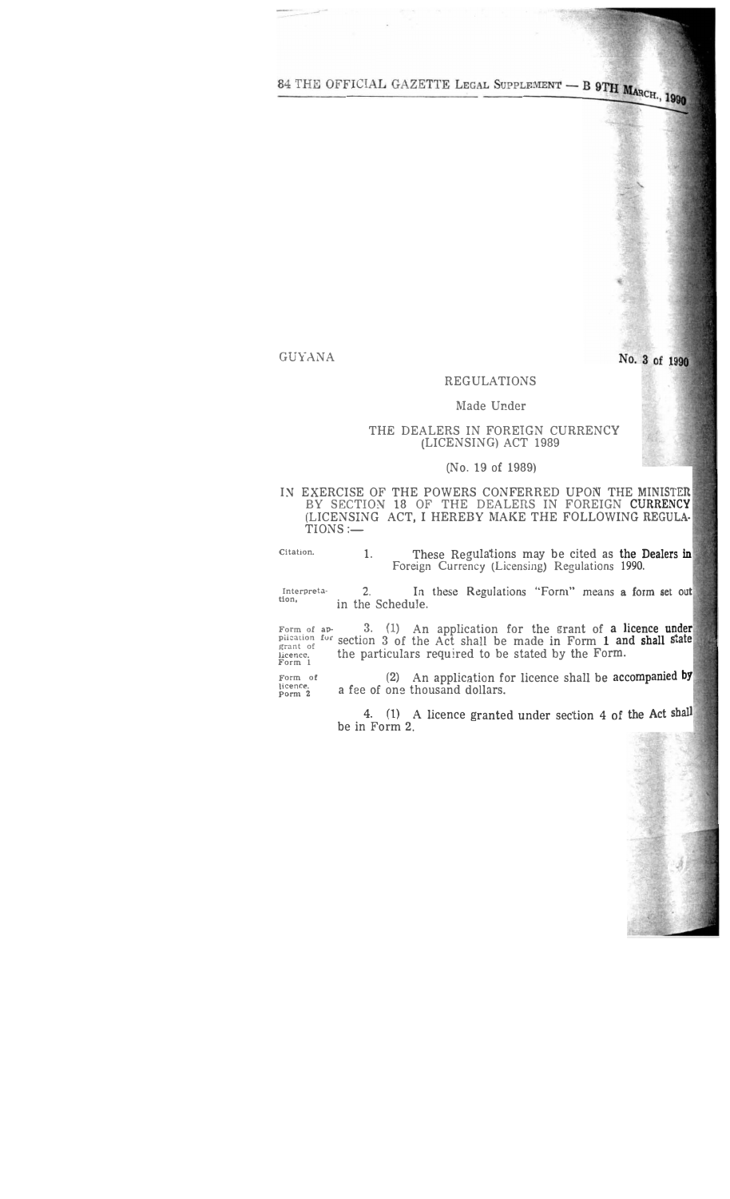84 THE OFFICIAL GAZETTE LEGAL SUPPLEMENT - B 9TH MARCH., 1990

GUYANA

No. 3 of 1990

# REGULATIONS

## Made Under

## THE DEALERS IN FOREIGN CURRENCY (LICENSING) ACT 1989

## (No. 19 of 1989)

I� EXERCISE OF THE POWERS CONFERRED UPON THE **MINISTER** BY SECTION 18 OF THE DEALERS IN FOREIGN **CURRENCY** (LICENSING ACT, I HEREBY MAKE THE FOLLOWING REGULA·  $TIONS :=$ 

**Citation.**  1. These Regulations may be cited as the **Dealers** 1n Foreign Currency (Licensing) Regulations 1990.

**Interoreta-tion,**  2. In these Regulations "Form" means **a form set out** in the Schedule.

**Form of ap-** 3. (1) An application for the grant of a licence **under** plication for section 3 of the Act shall be made in Form 1 and shall state<br>
licence.<br> **Form 1 the particulars required to be stated by the Form.** 

Form of **(2)** An application for licence shall be accompanied by porm 2 a fee of one thousand dollars. a fee of one thousand dollars.

> 4. (1 ) A licence granted under section 4 of the Act shall be in Form 2.

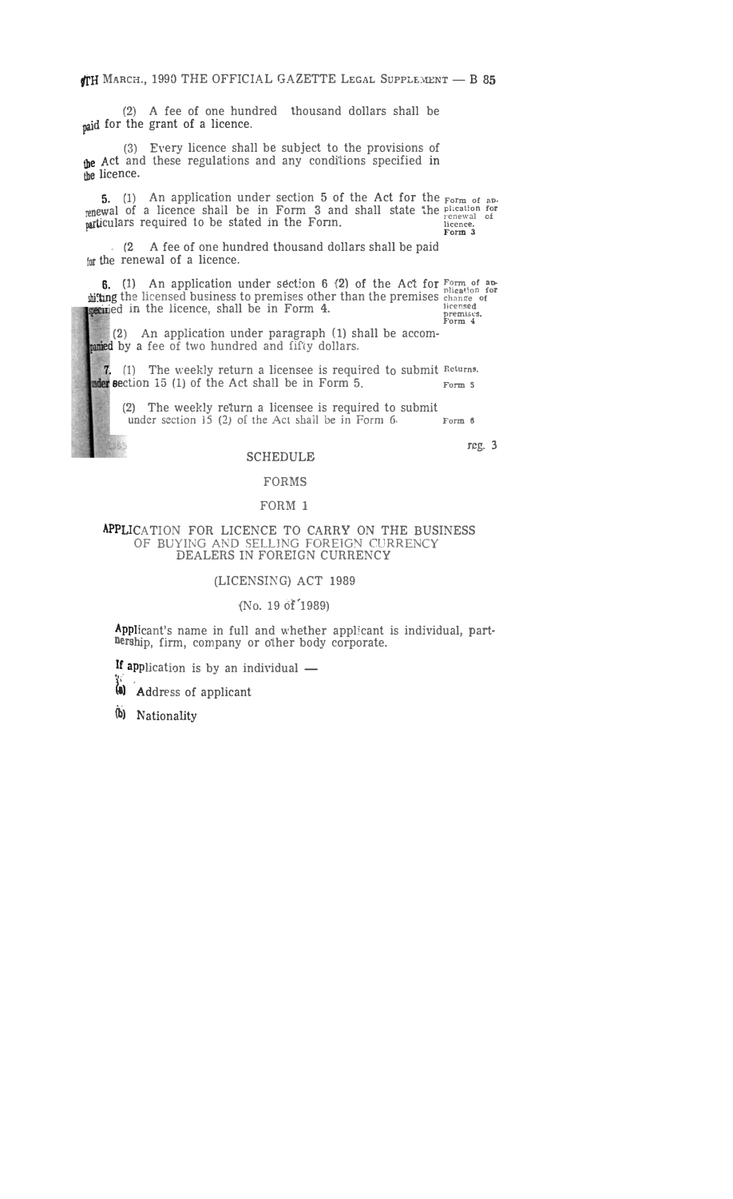(2) A fee of one hundred thousand dollars shall be paid for the grant of a licence.

(3) Every licence shall be subject to the provisions of the Act and these regulations and any conditions specified in the licence.

5. (1) An application under section 5 of the Act for the **Form of ap.** renewal of a licence shall be in Form 3 and shall state the **plication for**<br> **PATLICULARS** required to be stated in the Form. **In the limit of the property of the plicate**<br> **Form 3** 

. (2 A fee of one hundred thousand dollars shall be paid  $f$ <sub>10</sub> the renewal of a licence.

**6.** (1) An application under section 6 (2) of the Act for  $\frac{F\text{orm of a}}{F\text{ term of a}}$ diting the licensed business to premises other than the premises change of ined in the licence, shall be in Form 4. **Discussed** premises.

premises.<br>Form 4

(2) An application under paragraph (1) shall be accom panied by a fee of two hundred and fifty dollars.

7. (1) The weekly return a licensee is required to submit Returns.<br>**at section 15** (1) of the Act shall be in Form 5. **stable 3** action 15 (1) of the Act shall be in Form 5.

(2) The weekly return a licensee is required to submit under section 15 (2) of the Act shall be in Form 6. under section 15 (2) of the Act shall be in Form 6.

reg. 3

# SCHEDULE

## FORMS

## FORM 1

#### APPLICATION FOR LICENCE TO CARRY ON THE BUSINESS OF BUYING AND SELLING FOREIGN CURRENCY DEALERS IN FOREIGN CURRENCY

## (LICENSING) ACT 1989

## (No. 19 of 1989)

Applicant's name in full and whether applicant is individual, part-Dership, firm, company or other body corporate.

If application is by an individual  $-$ 

 $\ddot{a}$  **Address of applicant** 

(b) Nationality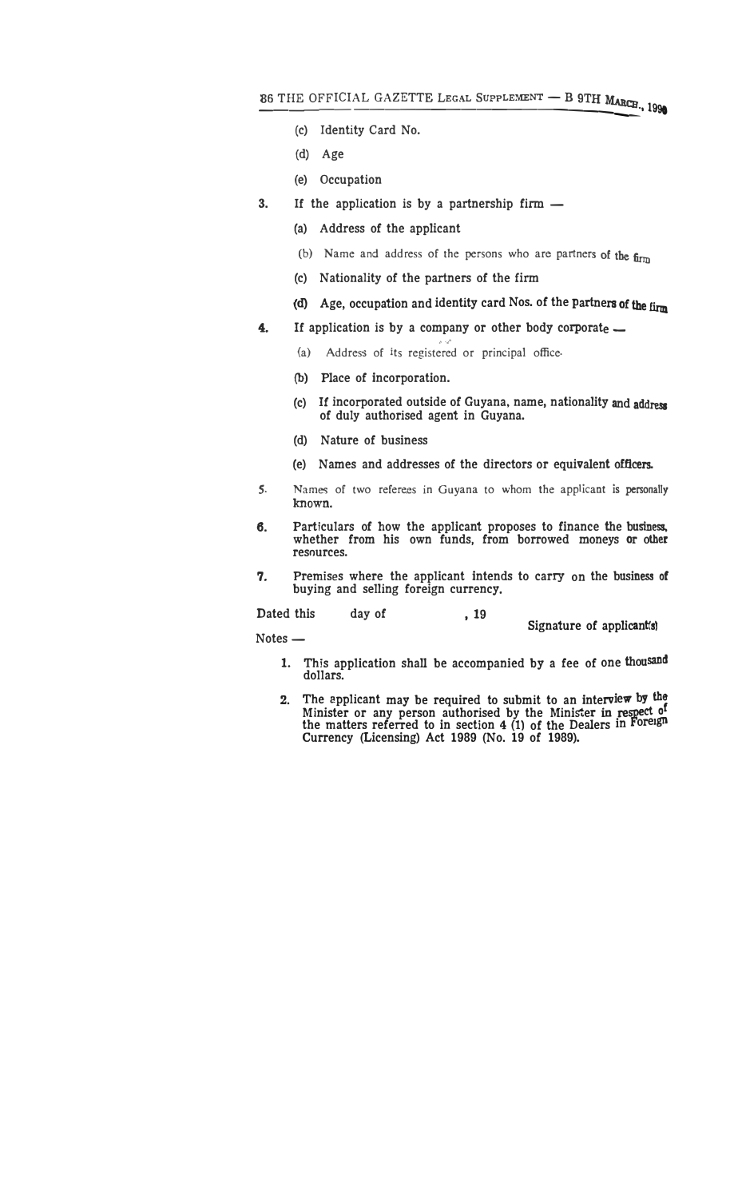- **(c) Identity Card No.**
- **(d) Age**
- **(e) Occupation**
- **3. If the application is by a partnership firm -**
	- **(a) Address of the applicant**
	- (b) Name and address of the persons who are partners of the firm
	- **(c) Nationality of the partners of the firm**
	- (d) **Age, occupation and identity card Nos. of the Partners of the firm**
- **4.**  If application is by a company or other body corporate  $\sim$ 
	- (a) Address of its registered or principal office
	- (b) **Place of incorporation.**
	- **(c) If incorporated outside of Guyana, name, nationality and address of duly authorised agent in Guyana.**
	- **(d) Nature of business**
	- **(e) Names and addresses of the directors or equivalent officers.**
- s. Names of two referees in Guyana to whom the applicant **is** personally known.
- **6. Particulars of bow the applicant proposes to finance the business. whether from his own funds, from borrowed moneys or other resources.**
- **7. Premises where the applicant intends to carry on the business of buying and selling foreign currency.**

Dated this day of , 19

**Signature of applicant{s)** 

**Notes-**

- **1. This application shall be accompanied by a fee of one thousand dollars.**
- **2. The applicant may be required to submit to an interview by the <sup>f</sup> Minister or any person authorised by the Minister** in **respect.** <sup>0</sup> **the matters referred to in section 4 (1) of the Dealers in Foreign Currency (Licensing) Act 1989 (No. 19 of 1989).**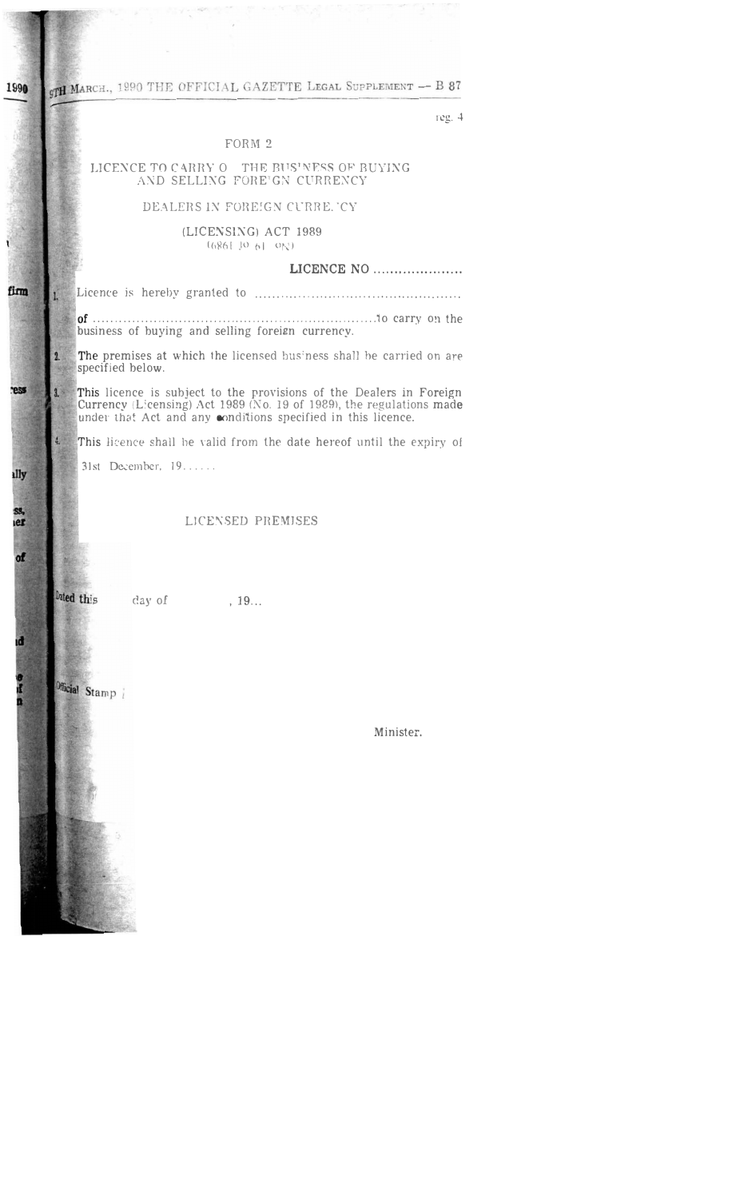**9TH MARCH.**, 1990 THE OFFICIAL GAZETTE LEGAL SUPPLEMENT - B 87 1990

reg.  $4$ 

# FORM 2

# LICENCE TO CARRY O  $\_$  THE BUSINESS OF BUYING AND SELLING FORE GN CURRENCY

# DEALERS IN FOREIGN CURRE. 'CY

# (LICENSING) ACT 1989  $(686$ [  $10 - 6$ ]  $-0$ <sub>k</sub><sup>1</sup>)

## LICENCE NO .....................

 $of$  .......... business of buying and selling foreign currency.

The premises at which the licensed business shall be carried on are specified below.

This licence is subject to the provisions of the Dealers in Foreign<br>Currency (Licensing) Act 1989 (No. 19 of 1989), the regulations made<br>under that Act and any conditions specified in this licence.

This licence shall be valid from the date hereof until the expiry of

31st December, 19. .....

# LICENSED PREMISES

Dated this day of  $, 19...$ 

Official Stamp

ř

firm

ress

ally

ss,<br>Ier

of

đ

e<br>I

1.

2.

 $\overline{3}$ .

Minister.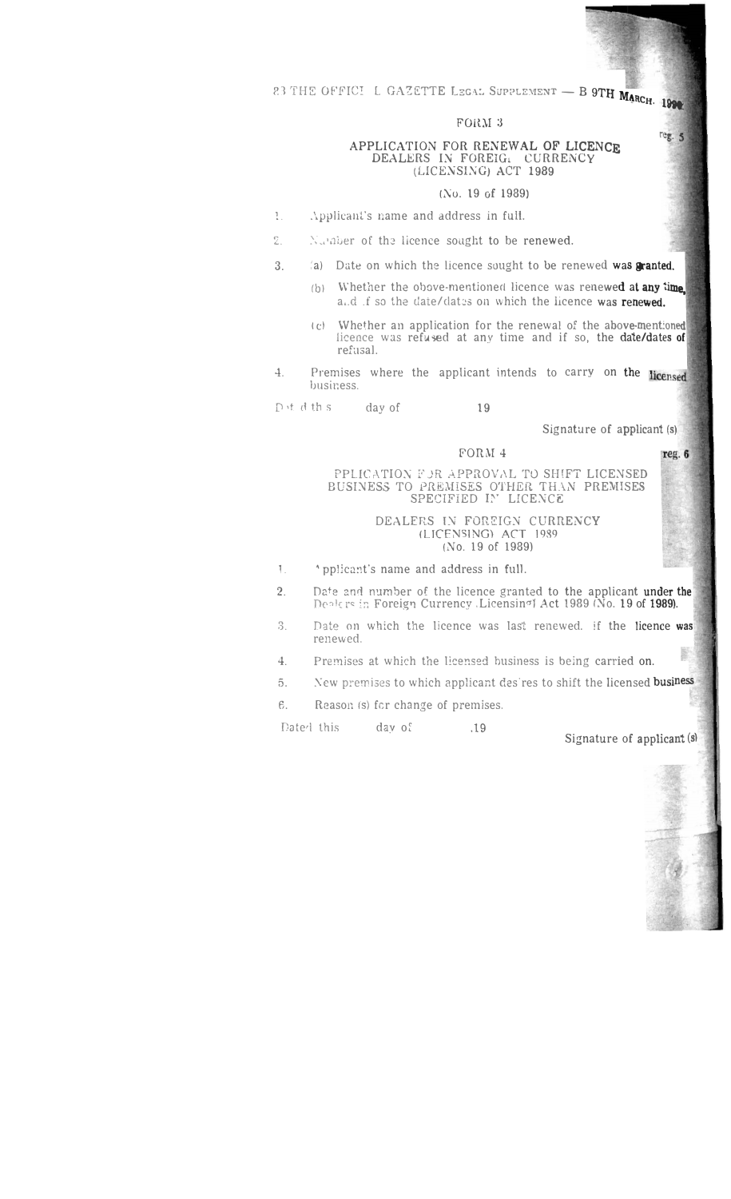e1 TH8 OF'FIC� L GAZETTE LEGA:. SuPPLE:vIENT - B 9Tl[ Mt **• ltCtt, l99t**

## FORM 3

## APPLICATION FOR RENEWAL OF **LICENCE** DEALERS IN FOREIG. CURRENCY (LICENSING) ACT **1989**

# (No. 19 of 1989)

- l. .'..pp!icanl's name and address in full.
- 2. Number of the licence sought to be renewed.
- 3. (a) Date on which the licence sought to be renewed was granted.
	- (b) Whether the obove-mentioned licence was renewed at any time. a.d .f so the date/dates on which the licence was renewed.
	- ( c) Whether an application for the renewal of the above-mentioned liceace was refused at any time and if so, the date/dates **of** refusal.
- 4. Premises where the applicant intends to carry on the licensed business.

Put d th s day of 19

Signature of applicant (s)

## FORM 4

## PPLIC \TIO:\" :•'.JR ,'.I.PPROV,\L TO SHIFT LICENSED BUSINESS TO PREMISES OTHER THAN PREMISES SPECIFIED IN LICENCE

## DEALERS IN FOREIGN CURRENCY (UCENS[NG) ACT 1989 *(No.* 19 of 1989)

- 1. **•** pplicant's name and address in full.
- 2. Date and number of the licence granted to the applicant under the Dealers in Foreign Currency .Licensin<sup>o</sup>l Act 1989 (No. 19 of 1989).
- 3. Date on which the licence was last renewed. if the licence was renewed. 鼣
- 4. Premises at which the licensed business is being carried on.
- 5. New premises to which applicant desires to shift the licensed **business**
- 6. Reason (s) fer change of premises.

Dated this day of 5.19

Signature of **applicant (s)**



reg. 6

reg. 5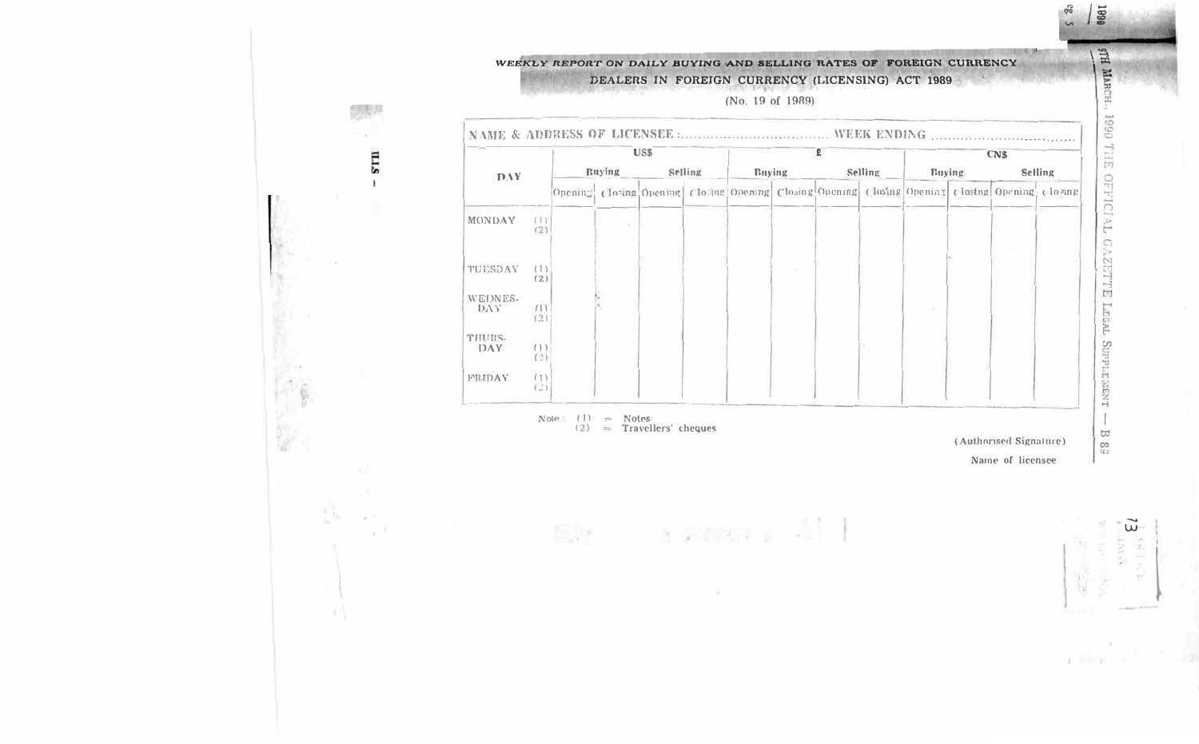# WEEKLY REPORT ON DAILY BUYING AND SELLING RATES OF FOREIGN CURRENCY DEALERS IN FOREIGN CURRENCY (LICENSING) ACT 1989

STII

18

a story.

 $\sim$ 

|                                              |                            |  |                         |                |  | $\mathbf{R}$                                                                                    |  |  |               |                        |                       |  |
|----------------------------------------------|----------------------------|--|-------------------------|----------------|--|-------------------------------------------------------------------------------------------------|--|--|---------------|------------------------|-----------------------|--|
| <b>DAY</b>                                   | US\$<br>Buying Selling     |  |                         | Buying Selling |  |                                                                                                 |  |  | <b>Buying</b> |                        | <b>CNS</b><br>Selling |  |
|                                              |                            |  |                         |                |  | Opening Closing Opening Clo ing Opening Closing Opening Closing Opening Closing Opening Closing |  |  |               |                        |                       |  |
| MONDAY<br>$($   }<br>(2)                     |                            |  |                         |                |  |                                                                                                 |  |  |               |                        |                       |  |
| TUESDAY<br>(1)<br>(2)                        |                            |  |                         |                |  |                                                                                                 |  |  |               |                        |                       |  |
| WEDNES-<br>DAY<br>(1)<br>(2)                 |                            |  |                         |                |  |                                                                                                 |  |  |               |                        |                       |  |
| THURS-<br>(1)<br>DAY<br>(2)                  |                            |  |                         |                |  |                                                                                                 |  |  |               |                        |                       |  |
| FRIDAY<br>(1)<br>$\langle \ \cdot \ \rangle$ |                            |  |                         |                |  |                                                                                                 |  |  |               |                        |                       |  |
|                                              | $Note: (1) = Notes$<br>(2) |  | $=$ Travellers' cheques |                |  |                                                                                                 |  |  |               | (Authorised Signature) |                       |  |
|                                              |                            |  |                         |                |  |                                                                                                 |  |  |               | Name of licensee       |                       |  |
|                                              |                            |  |                         |                |  |                                                                                                 |  |  |               |                        |                       |  |